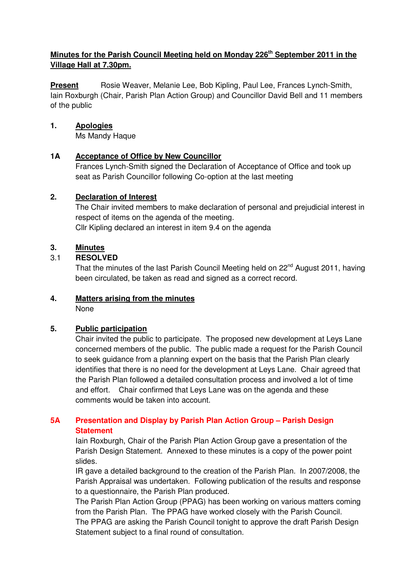## **Minutes for the Parish Council Meeting held on Monday 226th September 2011 in the Village Hall at 7.30pm.**

**Present** Rosie Weaver, Melanie Lee, Bob Kipling, Paul Lee, Frances Lynch-Smith, Iain Roxburgh (Chair, Parish Plan Action Group) and Councillor David Bell and 11 members of the public

#### **1. Apologies**

Ms Mandy Haque

## **1A Acceptance of Office by New Councillor**

 Frances Lynch-Smith signed the Declaration of Acceptance of Office and took up seat as Parish Councillor following Co-option at the last meeting

#### **2. Declaration of Interest**

The Chair invited members to make declaration of personal and prejudicial interest in respect of items on the agenda of the meeting. Cllr Kipling declared an interest in item 9.4 on the agenda

## **3. Minutes**

#### 3.1 **RESOLVED**

That the minutes of the last Parish Council Meeting held on 22<sup>nd</sup> August 2011, having been circulated, be taken as read and signed as a correct record.

#### **4. Matters arising from the minutes**

None

## **5. Public participation**

Chair invited the public to participate. The proposed new development at Leys Lane concerned members of the public. The public made a request for the Parish Council to seek guidance from a planning expert on the basis that the Parish Plan clearly identifies that there is no need for the development at Leys Lane. Chair agreed that the Parish Plan followed a detailed consultation process and involved a lot of time and effort. Chair confirmed that Leys Lane was on the agenda and these comments would be taken into account.

## **5A Presentation and Display by Parish Plan Action Group – Parish Design Statement**

Iain Roxburgh, Chair of the Parish Plan Action Group gave a presentation of the Parish Design Statement. Annexed to these minutes is a copy of the power point slides.

 IR gave a detailed background to the creation of the Parish Plan. In 2007/2008, the Parish Appraisal was undertaken. Following publication of the results and response to a questionnaire, the Parish Plan produced.

 The Parish Plan Action Group (PPAG) has been working on various matters coming from the Parish Plan. The PPAG have worked closely with the Parish Council. The PPAG are asking the Parish Council tonight to approve the draft Parish Design Statement subject to a final round of consultation.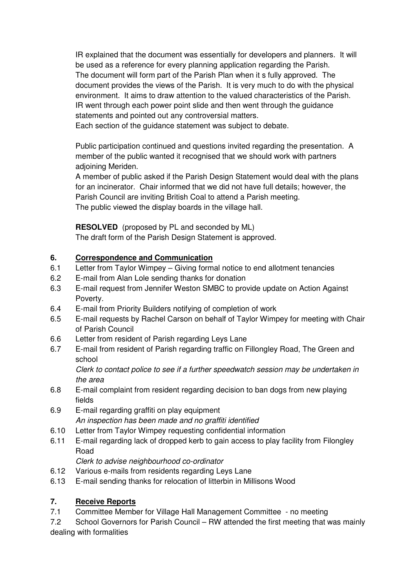IR explained that the document was essentially for developers and planners. It will be used as a reference for every planning application regarding the Parish. The document will form part of the Parish Plan when it s fully approved. The document provides the views of the Parish. It is very much to do with the physical environment. It aims to draw attention to the valued characteristics of the Parish. IR went through each power point slide and then went through the guidance statements and pointed out any controversial matters.

Each section of the guidance statement was subject to debate.

 Public participation continued and questions invited regarding the presentation. A member of the public wanted it recognised that we should work with partners adjoining Meriden.

 A member of public asked if the Parish Design Statement would deal with the plans for an incinerator. Chair informed that we did not have full details; however, the Parish Council are inviting British Coal to attend a Parish meeting. The public viewed the display boards in the village hall.

**RESOLVED** (proposed by PL and seconded by ML)

The draft form of the Parish Design Statement is approved.

# **6. Correspondence and Communication**

- 6.1 Letter from Taylor Wimpey Giving formal notice to end allotment tenancies
- 6.2 E-mail from Alan Lole sending thanks for donation
- 6.3 E-mail request from Jennifer Weston SMBC to provide update on Action Against Poverty.
- 6.4 E-mail from Priority Builders notifying of completion of work
- 6.5 E-mail requests by Rachel Carson on behalf of Taylor Wimpey for meeting with Chair of Parish Council
- 6.6 Letter from resident of Parish regarding Leys Lane
- 6.7 E-mail from resident of Parish regarding traffic on Fillongley Road, The Green and school

Clerk to contact police to see if a further speedwatch session may be undertaken in the area

- 6.8 E-mail complaint from resident regarding decision to ban dogs from new playing fields
- 6.9 E-mail regarding graffiti on play equipment An inspection has been made and no graffiti identified
- 6.10 Letter from Taylor Wimpey requesting confidential information
- 6.11 E-mail regarding lack of dropped kerb to gain access to play facility from Filongley Road

Clerk to advise neighbourhood co-ordinator

- 6.12 Various e-mails from residents regarding Leys Lane
- 6.13 E-mail sending thanks for relocation of litterbin in Millisons Wood

# **7. Receive Reports**

7.1 Committee Member for Village Hall Management Committee - no meeting

7.2 School Governors for Parish Council – RW attended the first meeting that was mainly dealing with formalities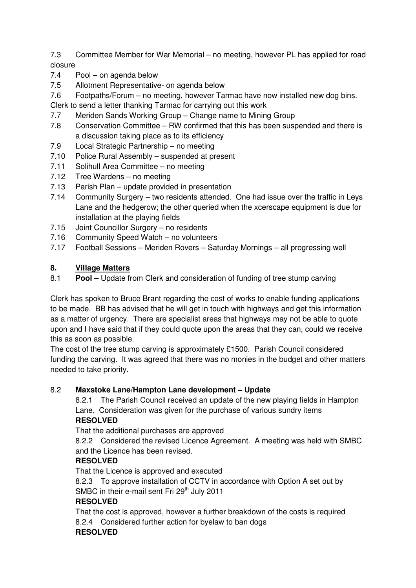7.3 Committee Member for War Memorial – no meeting, however PL has applied for road closure

- 7.4 Pool on agenda below
- 7.5 Allotment Representative- on agenda below
- 7.6 Footpaths/Forum no meeting, however Tarmac have now installed new dog bins.

Clerk to send a letter thanking Tarmac for carrying out this work

- 7.7 Meriden Sands Working Group Change name to Mining Group
- 7.8 Conservation Committee RW confirmed that this has been suspended and there is a discussion taking place as to its efficiency
- 7.9 Local Strategic Partnership no meeting
- 7.10 Police Rural Assembly suspended at present
- 7.11 Solihull Area Committee no meeting
- 7.12 Tree Wardens no meeting
- 7.13 Parish Plan update provided in presentation
- 7.14 Community Surgery two residents attended. One had issue over the traffic in Leys Lane and the hedgerow; the other queried when the xcerscape equipment is due for installation at the playing fields
- 7.15 Joint Councillor Surgery no residents
- 7.16 Community Speed Watch no volunteers
- 7.17 Football Sessions Meriden Rovers Saturday Mornings all progressing well

## **8. Village Matters**

8.1 **Pool** – Update from Clerk and consideration of funding of tree stump carving

Clerk has spoken to Bruce Brant regarding the cost of works to enable funding applications to be made. BB has advised that he will get in touch with highways and get this information as a matter of urgency. There are specialist areas that highways may not be able to quote upon and I have said that if they could quote upon the areas that they can, could we receive this as soon as possible.

The cost of the tree stump carving is approximately £1500. Parish Council considered funding the carving. It was agreed that there was no monies in the budget and other matters needed to take priority.

## 8.2 **Maxstoke Lane/Hampton Lane development – Update**

 8.2.1 The Parish Council received an update of the new playing fields in Hampton Lane. Consideration was given for the purchase of various sundry items **RESOLVED** 

That the additional purchases are approved

8.2.2 Considered the revised Licence Agreement. A meeting was held with SMBC and the Licence has been revised.

## **RESOLVED**

That the Licence is approved and executed

8.2.3 To approve installation of CCTV in accordance with Option A set out by SMBC in their e-mail sent Fri 29<sup>th</sup> July 2011

# **RESOLVED**

That the cost is approved, however a further breakdown of the costs is required 8.2.4 Considered further action for byelaw to ban dogs

## **RESOLVED**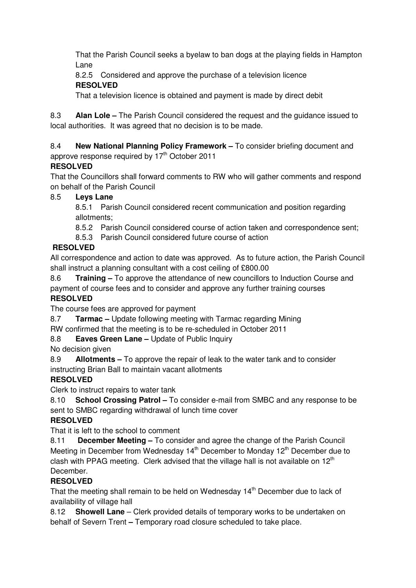That the Parish Council seeks a byelaw to ban dogs at the playing fields in Hampton Lane

 8.2.5 Considered and approve the purchase of a television licence **RESOLVED** 

That a television licence is obtained and payment is made by direct debit

8.3 **Alan Lole –** The Parish Council considered the request and the guidance issued to local authorities. It was agreed that no decision is to be made.

# 8.4 **New National Planning Policy Framework –** To consider briefing document and

# approve response required by 17<sup>th</sup> October 2011

# **RESOLVED**

That the Councillors shall forward comments to RW who will gather comments and respond on behalf of the Parish Council

# 8.5 **Leys Lane**

8.5.1 Parish Council considered recent communication and position regarding allotments;

8.5.2 Parish Council considered course of action taken and correspondence sent;

8.5.3 Parish Council considered future course of action

# **RESOLVED**

All correspondence and action to date was approved. As to future action, the Parish Council shall instruct a planning consultant with a cost ceiling of £800.00

8.6 **Training –** To approve the attendance of new councillors to Induction Course and

payment of course fees and to consider and approve any further training courses **RESOLVED** 

# The course fees are approved for payment

8.7 **Tarmac –** Update following meeting with Tarmac regarding Mining

RW confirmed that the meeting is to be re-scheduled in October 2011

# 8.8 **Eaves Green Lane –** Update of Public Inquiry

No decision given

8.9 **Allotments –** To approve the repair of leak to the water tank and to consider instructing Brian Ball to maintain vacant allotments

# **RESOLVED**

Clerk to instruct repairs to water tank

8.10 **School Crossing Patrol –** To consider e-mail from SMBC and any response to be sent to SMBC regarding withdrawal of lunch time cover

# **RESOLVED**

That it is left to the school to comment

8.11 **December Meeting –** To consider and agree the change of the Parish Council Meeting in December from Wednesday  $14<sup>th</sup>$  December to Monday  $12<sup>th</sup>$  December due to clash with PPAG meeting. Clerk advised that the village hall is not available on  $12<sup>th</sup>$ December.

# **RESOLVED**

That the meeting shall remain to be held on Wednesday  $14<sup>th</sup>$  December due to lack of availability of village hall

8.12 **Showell Lane** – Clerk provided details of temporary works to be undertaken on behalf of Severn Trent **–** Temporary road closure scheduled to take place.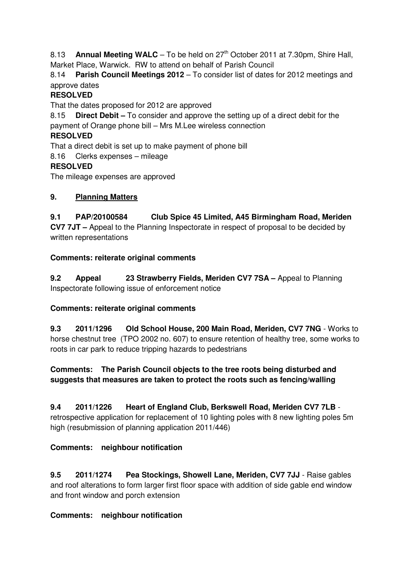8.13 **Annual Meeting WALC** – To be held on 27<sup>th</sup> October 2011 at 7.30pm, Shire Hall, Market Place, Warwick. RW to attend on behalf of Parish Council

8.14 **Parish Council Meetings 2012** – To consider list of dates for 2012 meetings and approve dates

## **RESOLVED**

That the dates proposed for 2012 are approved

8.15 **Direct Debit –** To consider and approve the setting up of a direct debit for the payment of Orange phone bill – Mrs M.Lee wireless connection

## **RESOLVED**

That a direct debit is set up to make payment of phone bill

8.16 Clerks expenses – mileage

#### **RESOLVED**

The mileage expenses are approved

#### **9. Planning Matters**

**9.1 PAP/20100584 Club Spice 45 Limited, A45 Birmingham Road, Meriden CV7 7JT –** Appeal to the Planning Inspectorate in respect of proposal to be decided by written representations

## **Comments: reiterate original comments**

**9.2 Appeal 23 Strawberry Fields, Meriden CV7 7SA –** Appeal to Planning Inspectorate following issue of enforcement notice

## **Comments: reiterate original comments**

**9.3 2011/1296 Old School House, 200 Main Road, Meriden, CV7 7NG** - Works to horse chestnut tree (TPO 2002 no. 607) to ensure retention of healthy tree, some works to roots in car park to reduce tripping hazards to pedestrians

**Comments: The Parish Council objects to the tree roots being disturbed and suggests that measures are taken to protect the roots such as fencing/walling** 

#### **9.4 2011/1226 Heart of England Club, Berkswell Road, Meriden CV7 7LB** -

retrospective application for replacement of 10 lighting poles with 8 new lighting poles 5m high (resubmission of planning application 2011/446)

## **Comments: neighbour notification**

**9.5 2011/1274 Pea Stockings, Showell Lane, Meriden, CV7 7JJ** - Raise gables and roof alterations to form larger first floor space with addition of side gable end window and front window and porch extension

## **Comments: neighbour notification**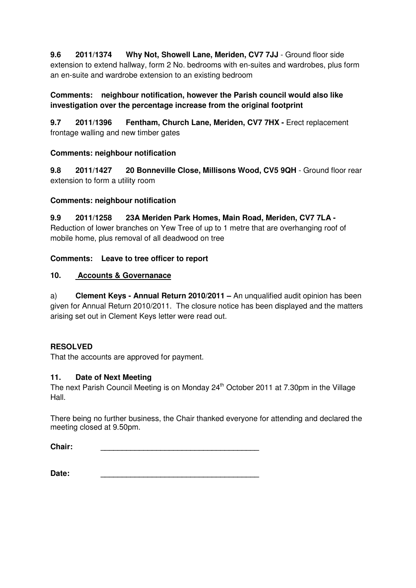**9.6 2011/1374 Why Not, Showell Lane, Meriden, CV7 7JJ** - Ground floor side extension to extend hallway, form 2 No. bedrooms with en-suites and wardrobes, plus form an en-suite and wardrobe extension to an existing bedroom

## **Comments: neighbour notification, however the Parish council would also like investigation over the percentage increase from the original footprint**

**9.7 2011/1396 Fentham, Church Lane, Meriden, CV7 7HX -** Erect replacement frontage walling and new timber gates

## **Comments: neighbour notification**

**9.8 2011/1427 20 Bonneville Close, Millisons Wood, CV5 9QH** - Ground floor rear extension to form a utility room

## **Comments: neighbour notification**

**9.9 2011/1258 23A Meriden Park Homes, Main Road, Meriden, CV7 7LA -** Reduction of lower branches on Yew Tree of up to 1 metre that are overhanging roof of mobile home, plus removal of all deadwood on tree

# **Comments: Leave to tree officer to report**

## **10. Accounts & Governanace**

a) **Clement Keys - Annual Return 2010/2011 –** An unqualified audit opinion has been given for Annual Return 2010/2011. The closure notice has been displayed and the matters arising set out in Clement Keys letter were read out.

# **RESOLVED**

That the accounts are approved for payment.

# **11. Date of Next Meeting**

The next Parish Council Meeting is on Monday 24<sup>th</sup> October 2011 at 7.30pm in the Village Hall.

There being no further business, the Chair thanked everyone for attending and declared the meeting closed at 9.50pm.

**Chair: \_\_\_\_\_\_\_\_\_\_\_\_\_\_\_\_\_\_\_\_\_\_\_\_\_\_\_\_\_\_\_\_\_\_\_\_\_** 

**Date: \_\_\_\_\_\_\_\_\_\_\_\_\_\_\_\_\_\_\_\_\_\_\_\_\_\_\_\_\_\_\_\_\_\_\_\_\_**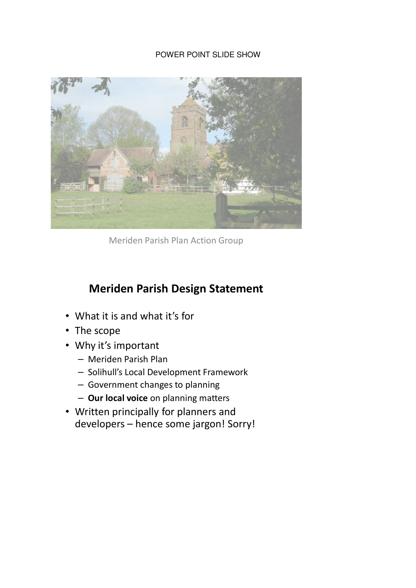## POWER POINT SLIDE SHOW



Meriden Parish Plan Action Group

# Meriden Parish Design Statement

- What it is and what it's for
- The scope
- Why it's important
	- Meriden Parish Plan
	- Solihull's Local Development Framework
	- Government changes to planning
	- Our local voice on planning matters
- Written principally for planners and developers – hence some jargon! Sorry!